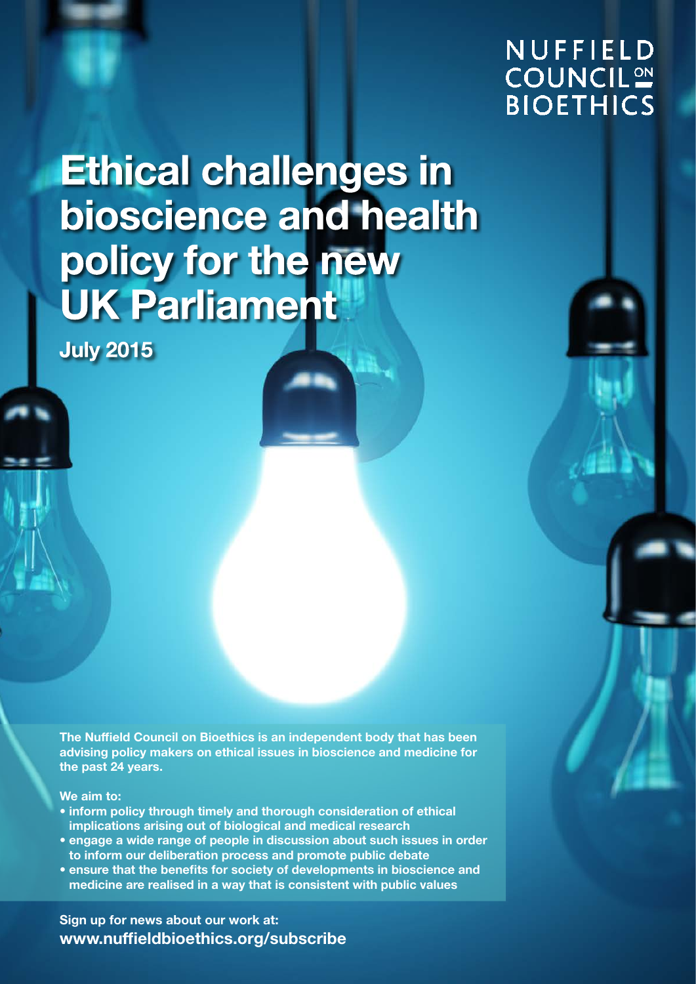### **NUFFIELD COUNCIL<sup>ON</sup> BIOETHICS**

**Ethical challenges in** bioscience and health policy for the new **UK Parliament** 

**July 2015** 

The Nuffield Council on Bioethics is an independent body that has been advising policy makers on ethical issues in bioscience and medicine for the past 24 years.

We aim to:

- inform policy through timely and thorough consideration of ethical implications arising out of biological and medical research
- engage a wide range of people in discussion about such issues in order to inform our deliberation process and promote public debate
- ensure that the benefits for society of developments in bioscience and medicine are realised in a way that is consistent with public values

Sign up for news about our work at: [www.nuffieldbioethics.org/subscribe](http://www.nuffieldbioethics.org/subscribe)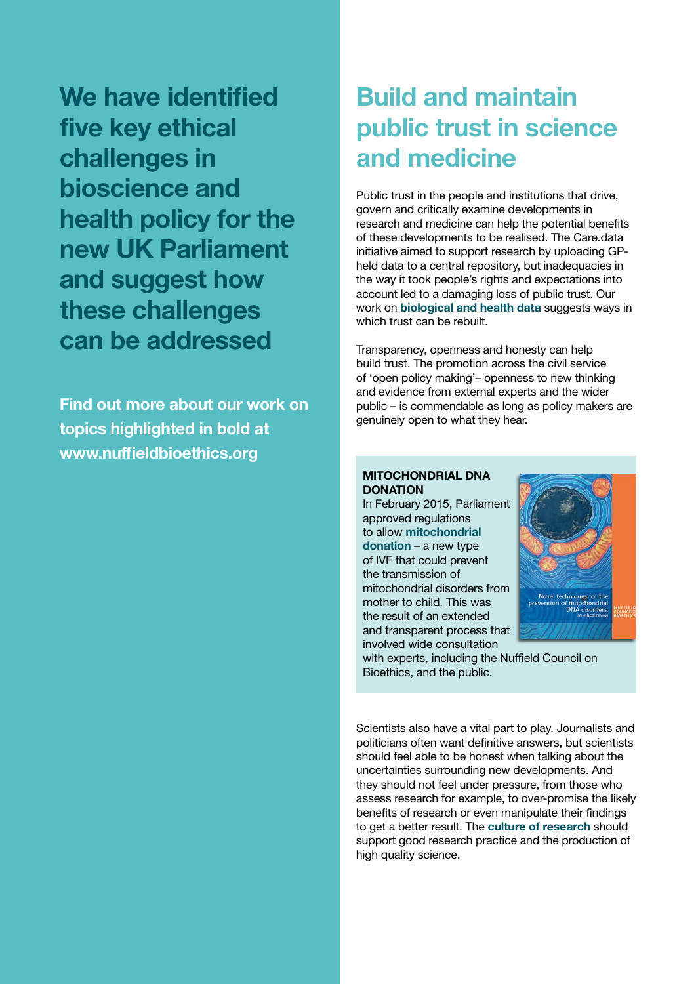We have identified five key ethical challenges in bioscience and health policy for the new UK Parliament and suggest how these challenges can be addressed

Find out more about our work on topics highlighted in bold at [www.nuffieldbioethics.org](http://www.nuffieldbioethics.org)

## Build and maintain public trust in science and medicine

Public trust in the people and institutions that drive, govern and critically examine developments in research and medicine can help the potential benefits of these developments to be realised. The Care.data initiative aimed to support research by uploading GPheld data to a central repository, but inadequacies in the way it took people's rights and expectations into account led to a damaging loss of public trust. Our work on **[biological and health data](www.nuffieldbioethics.org/biological-health-data)** suggests ways in which trust can be rebuilt.

Transparency, openness and honesty can help build trust. The promotion across the civil service of 'open policy making'– openness to new thinking and evidence from external experts and the wider public – is commendable as long as policy makers are genuinely open to what they hear.

#### MITOCHONDRIAL DNA **DONATION**

In February 2015, Parliament approved regulations to allow [mitochondrial](www.nuffieldbioethics.org/mitochondrial-dna-disorders)  [donation](www.nuffieldbioethics.org/mitochondrial-dna-disorders) – a new type of IVF that could prevent the transmission of mitochondrial disorders from mother to child. This was the result of an extended and transparent process that involved wide consultation



with experts, including the Nuffield Council on Bioethics, and the public.

Scientists also have a vital part to play. Journalists and politicians often want definitive answers, but scientists should feel able to be honest when talking about the uncertainties surrounding new developments. And they should not feel under pressure, from those who assess research for example, to over-promise the likely benefits of research or even manipulate their findings to get a better result. The [culture of research](www.nuffieldbioethics.org/research-culture) should support good research practice and the production of high quality science.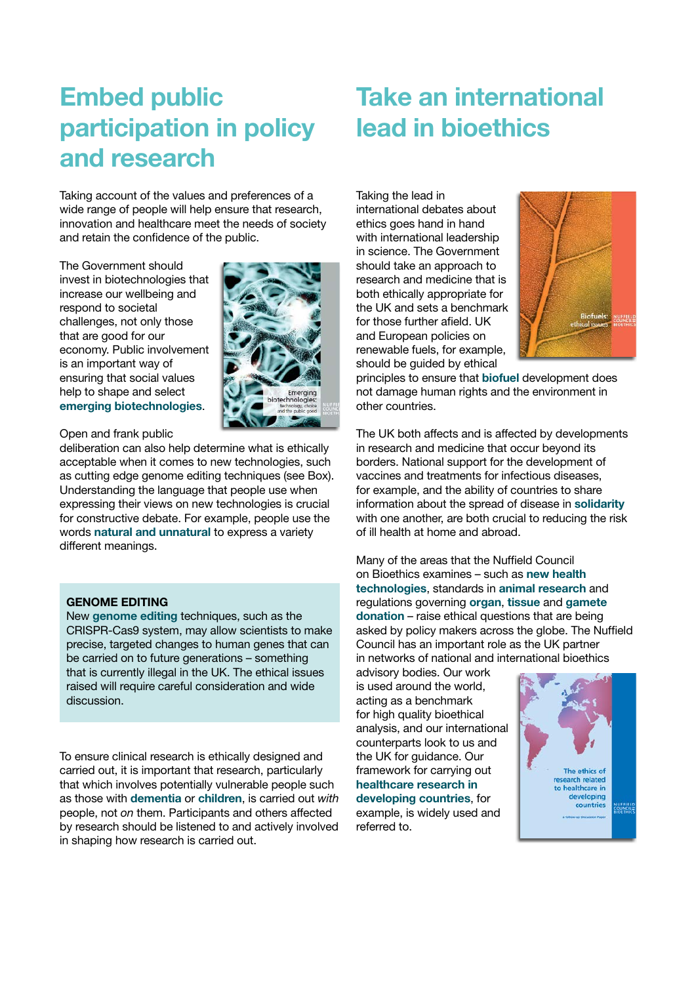# Embed public participation in policy and research

Taking account of the values and preferences of a wide range of people will help ensure that research, innovation and healthcare meet the needs of society and retain the confidence of the public.

The Government should invest in biotechnologies that increase our wellbeing and respond to societal challenges, not only those that are good for our economy. Public involvement is an important way of ensuring that social values help to shape and select [emerging biotechnologies](www.nuffieldbioethics.org/emerging-biotechnologies).



Open and frank public

deliberation can also help determine what is ethically acceptable when it comes to new technologies, such as cutting edge genome editing techniques (see Box). Understanding the language that people use when expressing their views on new technologies is crucial for constructive debate. For example, people use the words [natural and unnatural](www.nuffieldbioethics.org/naturalness) to express a variety different meanings.

#### GENOME EDITING

New [genome editing](www.nuffieldbioethics.org/news/2015/council-hosts-scoping-workshop-on-genome-editing/) techniques, such as the CRISPR-Cas9 system, may allow scientists to make precise, targeted changes to human genes that can be carried on to future generations – something that is currently illegal in the UK. The ethical issues raised will require careful consideration and wide discussion.

To ensure clinical research is ethically designed and carried out, it is important that research, particularly that which involves potentially vulnerable people such as those with [dementia](www.nuffieldbioethics.org/dementia) or [children](www.nuffieldbioethics.org/children-research), is carried out with people, not on them. Participants and others affected by research should be listened to and actively involved in shaping how research is carried out.

### Take an international lead in bioethics

Taking the lead in international debates about ethics goes hand in hand with international leadership in science. The Government should take an approach to research and medicine that is both ethically appropriate for the UK and sets a benchmark for those further afield. UK and European policies on renewable fuels, for example, should be guided by ethical



principles to ensure that [biofuel](www.nuffieldbioethics.org/biofuels) development does not damage human rights and the environment in other countries.

The UK both affects and is affected by developments in research and medicine that occur beyond its borders. National support for the development of vaccines and treatments for infectious diseases, for example, and the ability of countries to share information about the spread of disease in [solidarity](www.nuffieldbioethics.org/solidarity) with one another, are both crucial to reducing the risk of ill health at home and abroad.

Many of the areas that the Nuffield Council on Bioethics examines – such as [new health](http://nuffieldbioethics.org/project/personalised-healthcare-0/) [technologies](http://nuffieldbioethics.org/project/personalised-healthcare-0/), standards in animal [research](http://nuffieldbioethics.org/project/animal-research/) and regulations governing organ, [tissue](http://nuffieldbioethics.org/project/donation/) and [gamete](http://nuffieldbioethics.org/project/donor-conception/) [donation](http://nuffieldbioethics.org/project/donor-conception/) – raise ethical questions that are being asked by policy makers across the globe. The Nuffield Council has an important role as the UK partner in networks of national and international bioethics

advisory bodies. Our work is used around the world, acting as a benchmark for high quality bioethical analysis, and our international counterparts look to us and the UK for guidance. Our framework for carrying out [healthcare research in](www.nuffieldbioethics.org/research-developing-countries)  [developing countries](www.nuffieldbioethics.org/research-developing-countries), for example, is widely used and referred to.